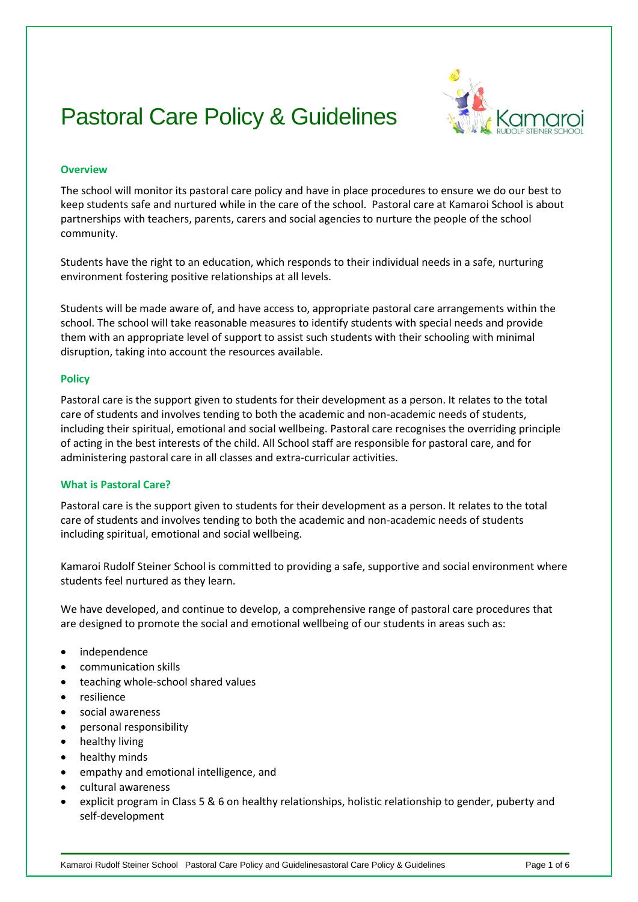# Pastoral Care Policy & Guidelines



## **Overview**

The school will monitor its pastoral care policy and have in place procedures to ensure we do our best to keep students safe and nurtured while in the care of the school. Pastoral care at Kamaroi School is about partnerships with teachers, parents, carers and social agencies to nurture the people of the school community.

Students have the right to an education, which responds to their individual needs in a safe, nurturing environment fostering positive relationships at all levels.

Students will be made aware of, and have access to, appropriate pastoral care arrangements within the school. The school will take reasonable measures to identify students with special needs and provide them with an appropriate level of support to assist such students with their schooling with minimal disruption, taking into account the resources available.

## **Policy**

Pastoral care is the support given to students for their development as a person. It relates to the total care of students and involves tending to both the academic and non-academic needs of students, including their spiritual, emotional and social wellbeing. Pastoral care recognises the overriding principle of acting in the best interests of the child. All School staff are responsible for pastoral care, and for administering pastoral care in all classes and extra-curricular activities.

# **What is Pastoral Care?**

Pastoral care is the support given to students for their development as a person. It relates to the total care of students and involves tending to both the academic and non-academic needs of students including spiritual, emotional and social wellbeing.

Kamaroi Rudolf Steiner School is committed to providing a safe, supportive and social environment where students feel nurtured as they learn.

We have developed, and continue to develop, a comprehensive range of pastoral care procedures that are designed to promote the social and emotional wellbeing of our students in areas such as:

- independence
- communication skills
- teaching whole-school shared values
- resilience
- social awareness
- personal responsibility
- healthy living
- healthy minds
- empathy and emotional intelligence, and
- cultural awareness
- explicit program in Class 5 & 6 on healthy relationships, holistic relationship to gender, puberty and self-development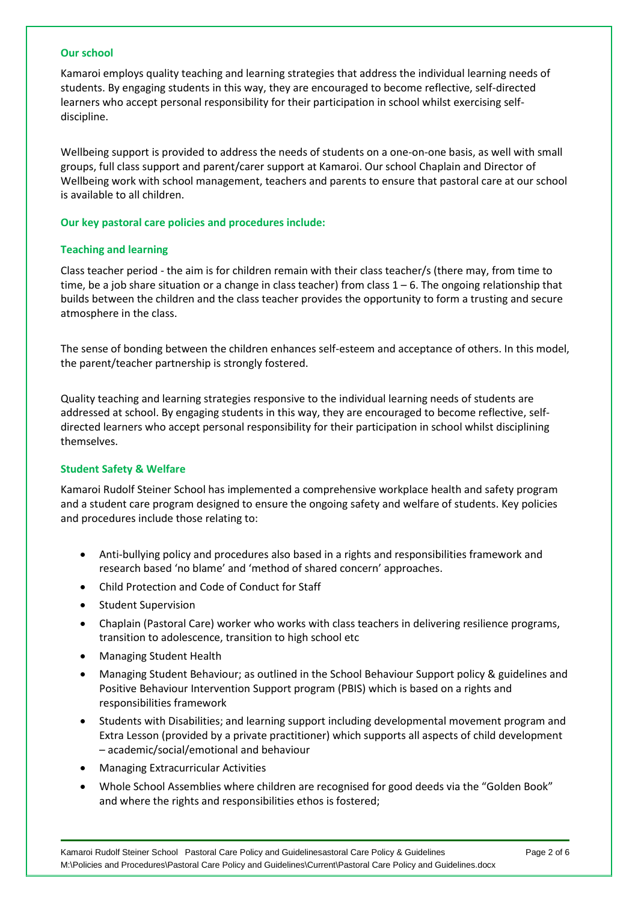## **Our school**

Kamaroi employs quality teaching and learning strategies that address the individual learning needs of students. By engaging students in this way, they are encouraged to become reflective, self-directed learners who accept personal responsibility for their participation in school whilst exercising selfdiscipline.

Wellbeing support is provided to address the needs of students on a one-on-one basis, as well with small groups, full class support and parent/carer support at Kamaroi. Our school Chaplain and Director of Wellbeing work with school management, teachers and parents to ensure that pastoral care at our school is available to all children.

## **Our key pastoral care policies and procedures include:**

## **Teaching and learning**

Class teacher period - the aim is for children remain with their class teacher/s (there may, from time to time, be a job share situation or a change in class teacher) from class  $1 - 6$ . The ongoing relationship that builds between the children and the class teacher provides the opportunity to form a trusting and secure atmosphere in the class.

The sense of bonding between the children enhances self-esteem and acceptance of others. In this model, the parent/teacher partnership is strongly fostered.

Quality teaching and learning strategies responsive to the individual learning needs of students are addressed at school. By engaging students in this way, they are encouraged to become reflective, selfdirected learners who accept personal responsibility for their participation in school whilst disciplining themselves.

# **Student Safety & Welfare**

Kamaroi Rudolf Steiner School has implemented a comprehensive workplace health and safety program and a student care program designed to ensure the ongoing safety and welfare of students. Key policies and procedures include those relating to:

- Anti-bullying policy and procedures also based in a rights and responsibilities framework and research based 'no blame' and 'method of shared concern' approaches.
- Child Protection and Code of Conduct for Staff
- Student Supervision
- Chaplain (Pastoral Care) worker who works with class teachers in delivering resilience programs, transition to adolescence, transition to high school etc
- Managing Student Health
- Managing Student Behaviour; as outlined in the School Behaviour Support policy & guidelines and Positive Behaviour Intervention Support program (PBIS) which is based on a rights and responsibilities framework
- Students with Disabilities; and learning support including developmental movement program and Extra Lesson (provided by a private practitioner) which supports all aspects of child development – academic/social/emotional and behaviour
- Managing Extracurricular Activities
- Whole School Assemblies where children are recognised for good deeds via the "Golden Book" and where the rights and responsibilities ethos is fostered;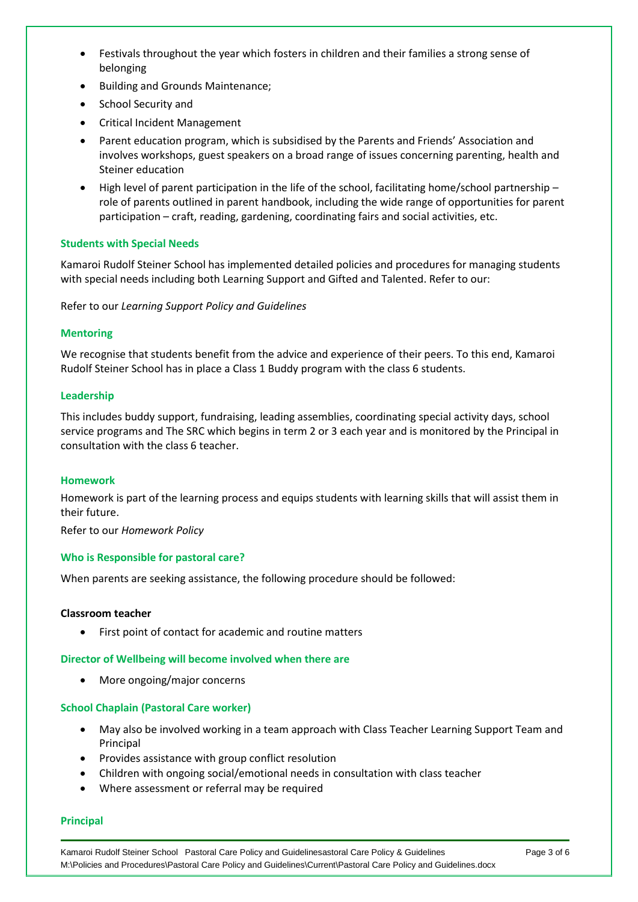- Festivals throughout the year which fosters in children and their families a strong sense of belonging
- Building and Grounds Maintenance;
- School Security and
- Critical Incident Management
- Parent education program, which is subsidised by the Parents and Friends' Association and involves workshops, guest speakers on a broad range of issues concerning parenting, health and Steiner education
- High level of parent participation in the life of the school, facilitating home/school partnership role of parents outlined in parent handbook, including the wide range of opportunities for parent participation – craft, reading, gardening, coordinating fairs and social activities, etc.

# **Students with Special Needs**

Kamaroi Rudolf Steiner School has implemented detailed policies and procedures for managing students with special needs including both Learning Support and Gifted and Talented. Refer to our:

Refer to our *Learning Support Policy and Guidelines*

# **Mentoring**

We recognise that students benefit from the advice and experience of their peers. To this end, Kamaroi Rudolf Steiner School has in place a Class 1 Buddy program with the class 6 students.

## **Leadership**

This includes buddy support, fundraising, leading assemblies, coordinating special activity days, school service programs and The SRC which begins in term 2 or 3 each year and is monitored by the Principal in consultation with the class 6 teacher.

# **Homework**

Homework is part of the learning process and equips students with learning skills that will assist them in their future.

Refer to our *Homework Policy*

# **Who is Responsible for pastoral care?**

When parents are seeking assistance, the following procedure should be followed:

# **Classroom teacher**

First point of contact for academic and routine matters

#### **Director of Wellbeing will become involved when there are**

More ongoing/major concerns

#### **School Chaplain (Pastoral Care worker)**

- May also be involved working in a team approach with Class Teacher Learning Support Team and Principal
- Provides assistance with group conflict resolution
- Children with ongoing social/emotional needs in consultation with class teacher
- Where assessment or referral may be required

#### **Principal**

Kamaroi Rudolf Steiner School Pastoral Care Policy and Guidelinesastoral Care Policy & Guidelines Page 3 of 6 M:\Policies and Procedures\Pastoral Care Policy and Guidelines\Current\Pastoral Care Policy and Guidelines.docx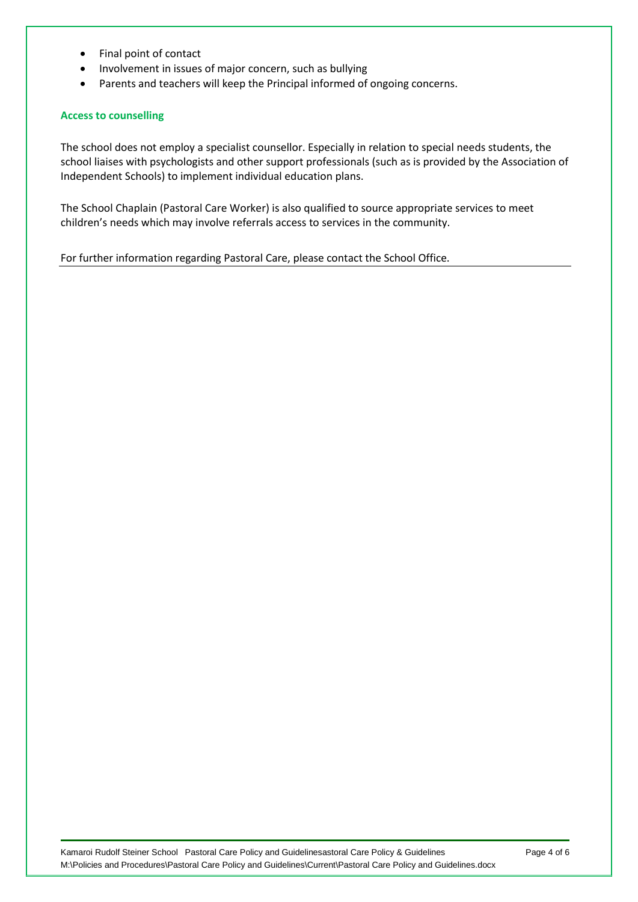- Final point of contact
- Involvement in issues of major concern, such as bullying
- Parents and teachers will keep the Principal informed of ongoing concerns.

# **Access to counselling**

The school does not employ a specialist counsellor. Especially in relation to special needs students, the school liaises with psychologists and other support professionals (such as is provided by the Association of Independent Schools) to implement individual education plans.

The School Chaplain (Pastoral Care Worker) is also qualified to source appropriate services to meet children's needs which may involve referrals access to services in the community.

For further information regarding Pastoral Care, please contact the School Office.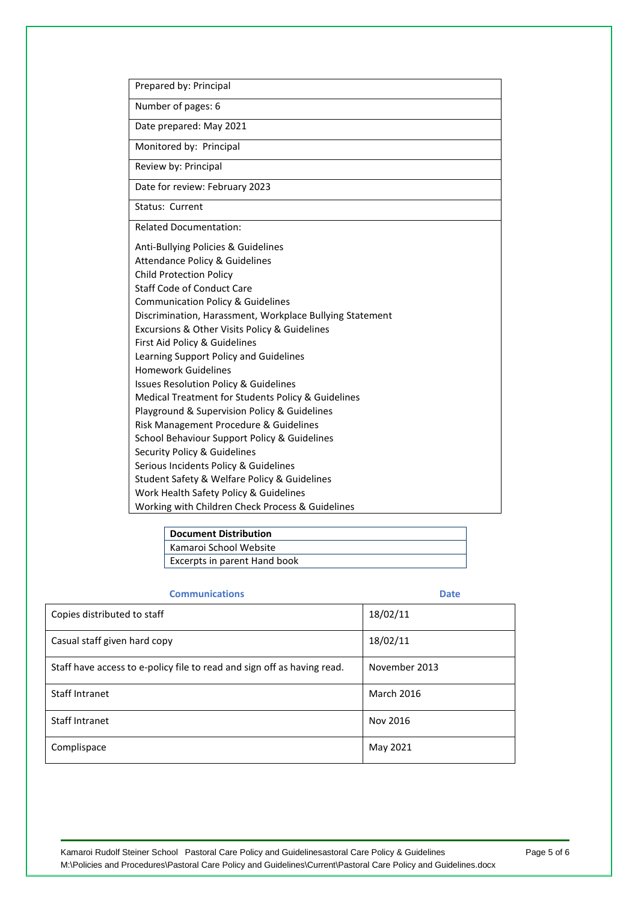| Prepared by: Principal                                   |  |
|----------------------------------------------------------|--|
| Number of pages: 6                                       |  |
| Date prepared: May 2021                                  |  |
| Monitored by: Principal                                  |  |
| Review by: Principal                                     |  |
| Date for review: February 2023                           |  |
| <b>Status: Current</b>                                   |  |
| <b>Related Documentation:</b>                            |  |
| Anti-Bullying Policies & Guidelines                      |  |
| <b>Attendance Policy &amp; Guidelines</b>                |  |
| <b>Child Protection Policy</b>                           |  |
| <b>Staff Code of Conduct Care</b>                        |  |
| <b>Communication Policy &amp; Guidelines</b>             |  |
| Discrimination, Harassment, Workplace Bullying Statement |  |
| Excursions & Other Visits Policy & Guidelines            |  |
| First Aid Policy & Guidelines                            |  |
| Learning Support Policy and Guidelines                   |  |
| Homework Guidelines                                      |  |
| <b>Issues Resolution Policy &amp; Guidelines</b>         |  |
| Medical Treatment for Students Policy & Guidelines       |  |
| Playground & Supervision Policy & Guidelines             |  |
| Risk Management Procedure & Guidelines                   |  |
| School Behaviour Support Policy & Guidelines             |  |
| Security Policy & Guidelines                             |  |
| Serious Incidents Policy & Guidelines                    |  |
| Student Safety & Welfare Policy & Guidelines             |  |
| Work Health Safety Policy & Guidelines                   |  |
| Working with Children Check Process & Guidelines         |  |

| Document Distribution        |  |
|------------------------------|--|
| Kamaroi School Website       |  |
| Excerpts in parent Hand book |  |

# **Communications Date**

| <u>communications</u>                                                   | <u>uu u</u>       |
|-------------------------------------------------------------------------|-------------------|
| Copies distributed to staff                                             | 18/02/11          |
| Casual staff given hard copy                                            | 18/02/11          |
| Staff have access to e-policy file to read and sign off as having read. | November 2013     |
| Staff Intranet                                                          | <b>March 2016</b> |
| Staff Intranet                                                          | Nov 2016          |
| Complispace                                                             | May 2021          |

Kamaroi Rudolf Steiner School Pastoral Care Policy and Guidelinesastoral Care Policy & Guidelines Page 5 of 6 M:\Policies and Procedures\Pastoral Care Policy and Guidelines\Current\Pastoral Care Policy and Guidelines.docx